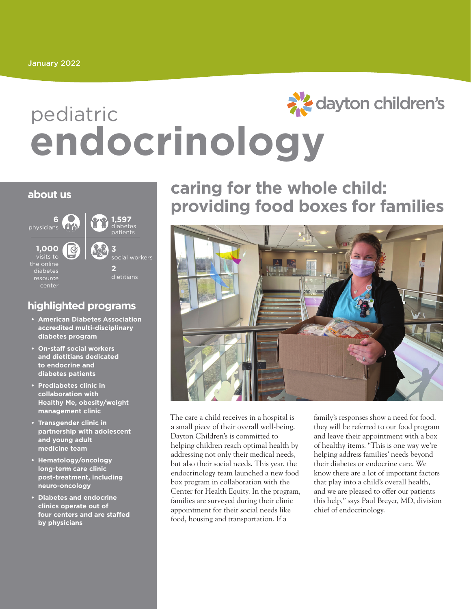# aller's dayton children's pediatric **endocrinology**

#### **about us**



#### **highlighted programs**

- **• American Diabetes Association accredited multi-disciplinary diabetes program**
- **• On-staff social workers and dietitians dedicated to endocrine and diabetes patients**
- **• Prediabetes clinic in collaboration with Healthy Me, obesity/weight management clinic**
- **• Transgender clinic in partnership with adolescent and young adult medicine team**
- **• Hematology/oncology long-term care clinic post-treatment, including neuro-oncology**
- **• Diabetes and endocrine clinics operate out of four centers and are staffed by physicians**

### **caring for the whole child: providing food boxes for families**



The care a child receives in a hospital is a small piece of their overall well-being. Dayton Children's is committed to helping children reach optimal health by addressing not only their medical needs, but also their social needs. This year, the endocrinology team launched a new food box program in collaboration with the Center for Health Equity. In the program, families are surveyed during their clinic appointment for their social needs like food, housing and transportation. If a

family's responses show a need for food, they will be referred to our food program and leave their appointment with a box of healthy items. "This is one way we're helping address families' needs beyond their diabetes or endocrine care. We know there are a lot of important factors that play into a child's overall health, and we are pleased to offer our patients this help," says Paul Breyer, MD, division chief of endocrinology.